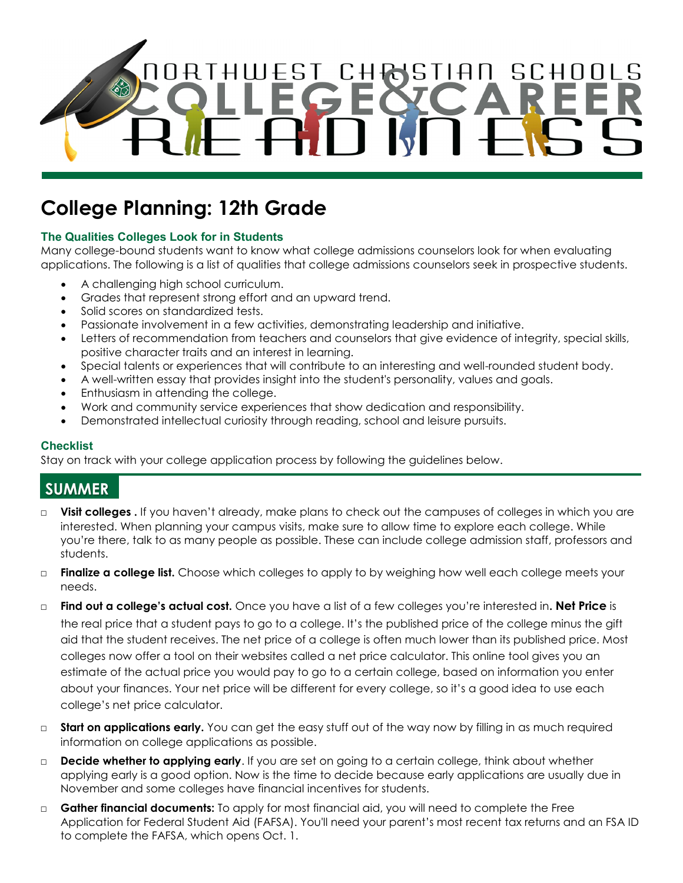

# **College Planning: 12th Grade**

### **The Qualities Colleges Look for in Students**

Many college-bound students want to know what college admissions counselors look for when evaluating applications. The following is a list of qualities that college admissions counselors seek in prospective students.

- A challenging high school curriculum.
- Grades that represent strong effort and an upward trend.
- Solid scores on standardized tests.
- Passionate involvement in a few activities, demonstrating leadership and initiative.
- Letters of recommendation from teachers and counselors that give evidence of integrity, special skills, positive character traits and an interest in learning.
- Special talents or experiences that will contribute to an interesting and well-rounded student body.
- A well-written essay that provides insight into the student's personality, values and goals.
- Enthusiasm in attending the college.
- Work and community service experiences that show dedication and responsibility.
- Demonstrated intellectual curiosity through reading, school and leisure pursuits.

#### **Checklist**

Stay on track with your college application process by following the guidelines below.

### **SUMMER**

- □ **Visit colleges** . If you haven't already, make plans to check out the campuses of colleges in which you are interested. When planning your campus visits, make sure to allow time to explore each college. While you're there, talk to as many people as possible. These can include college admission staff, professors and students.
- □ **Finalize a college list.** Choose which colleges to apply to by weighing how well each college meets your needs.
- □ **Find out a college's actual cost.** Once you have a list of a few colleges you're interested in**. Net Price** is the real price that a student pays to go to a college. It's the published price of the college minus the gift aid that the student receives. The net price of a college is often much lower than its published price. Most colleges now offer a tool on their websites called a net price calculator. This online tool gives you an estimate of the actual price you would pay to go to a certain college, based on information you enter about your finances. Your net price will be different for every college, so it's a good idea to use each college's net price calculator.
- □ **Start on applications early.** You can get the easy stuff out of the way now by filling in as much required information on college applications as possible.
- □ **Decide whether to applying early**. If you are set on going to a certain college, think about whether applying early is a good option. Now is the time to decide because early applications are usually due in November and some colleges have financial incentives for students.
- □ **Gather financial documents:** To apply for most financial aid, you will need to complete the Free Application for Federal Student Aid (FAFSA). You'll need your parent's most recent tax returns and an FSA ID to complete the FAFSA, which opens Oct. 1.